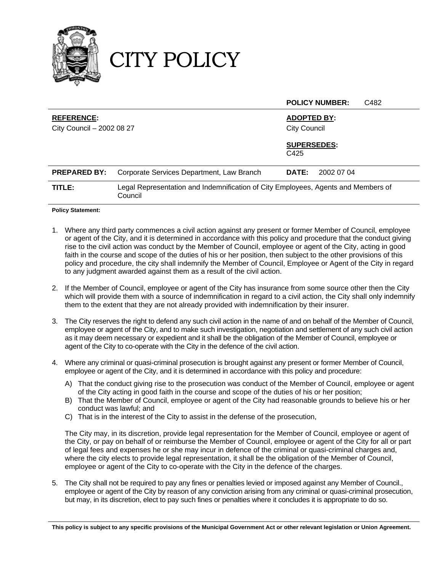

CITY POLICY

|                                                                                             |                                                                                              | C482<br><b>POLICY NUMBER:</b> |
|---------------------------------------------------------------------------------------------|----------------------------------------------------------------------------------------------|-------------------------------|
| <b>REFERENCE:</b><br><b>ADOPTED BY:</b><br>City Council - 2002 08 27<br><b>City Council</b> |                                                                                              |                               |
|                                                                                             |                                                                                              | <b>SUPERSEDES:</b><br>C425    |
| <b>PREPARED BY:</b>                                                                         | Corporate Services Department, Law Branch                                                    | 2002 07 04<br><b>DATE:</b>    |
| TITLE:                                                                                      | Legal Representation and Indemnification of City Employees, Agents and Members of<br>Council |                               |
|                                                                                             |                                                                                              |                               |

**Policy Statement:**

- 1. Where any third party commences a civil action against any present or former Member of Council, employee or agent of the City, and it is determined in accordance with this policy and procedure that the conduct giving rise to the civil action was conduct by the Member of Council, employee or agent of the City, acting in good faith in the course and scope of the duties of his or her position, then subject to the other provisions of this policy and procedure, the city shall indemnify the Member of Council, Employee or Agent of the City in regard to any judgment awarded against them as a result of the civil action.
- 2. If the Member of Council, employee or agent of the City has insurance from some source other then the City which will provide them with a source of indemnification in regard to a civil action, the City shall only indemnify them to the extent that they are not already provided with indemnification by their insurer.
- 3. The City reserves the right to defend any such civil action in the name of and on behalf of the Member of Council, employee or agent of the City, and to make such investigation, negotiation and settlement of any such civil action as it may deem necessary or expedient and it shall be the obligation of the Member of Council, employee or agent of the City to co-operate with the City in the defence of the civil action.
- 4. Where any criminal or quasi-criminal prosecution is brought against any present or former Member of Council, employee or agent of the City, and it is determined in accordance with this policy and procedure:
	- A) That the conduct giving rise to the prosecution was conduct of the Member of Council, employee or agent of the City acting in good faith in the course and scope of the duties of his or her position;
	- B) That the Member of Council, employee or agent of the City had reasonable grounds to believe his or her conduct was lawful; and
	- C) That is in the interest of the City to assist in the defense of the prosecution,

The City may, in its discretion, provide legal representation for the Member of Council, employee or agent of the City, or pay on behalf of or reimburse the Member of Council, employee or agent of the City for all or part of legal fees and expenses he or she may incur in defence of the criminal or quasi-criminal charges and, where the city elects to provide legal representation, it shall be the obligation of the Member of Council, employee or agent of the City to co-operate with the City in the defence of the charges.

5. The City shall not be required to pay any fines or penalties levied or imposed against any Member of Council., employee or agent of the City by reason of any conviction arising from any criminal or quasi-criminal prosecution, but may, in its discretion, elect to pay such fines or penalties where it concludes it is appropriate to do so.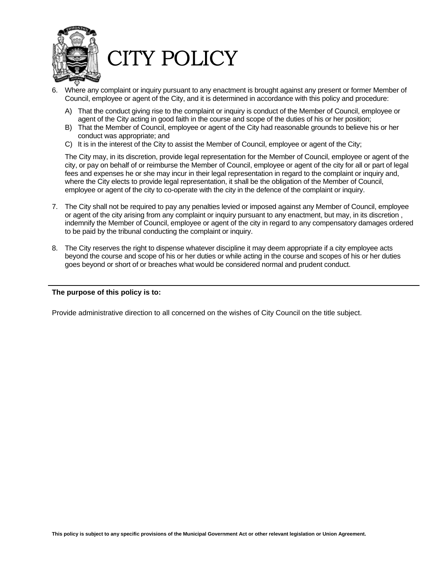

- 6. Where any complaint or inquiry pursuant to any enactment is brought against any present or former Member of Council, employee or agent of the City, and it is determined in accordance with this policy and procedure:
	- A) That the conduct giving rise to the complaint or inquiry is conduct of the Member of Council, employee or agent of the City acting in good faith in the course and scope of the duties of his or her position;
	- B) That the Member of Council, employee or agent of the City had reasonable grounds to believe his or her conduct was appropriate; and
	- C) It is in the interest of the City to assist the Member of Council, employee or agent of the City;

The City may, in its discretion, provide legal representation for the Member of Council, employee or agent of the city, or pay on behalf of or reimburse the Member of Council, employee or agent of the city for all or part of legal fees and expenses he or she may incur in their legal representation in regard to the complaint or inquiry and, where the City elects to provide legal representation, it shall be the obligation of the Member of Council, employee or agent of the city to co-operate with the city in the defence of the complaint or inquiry.

- 7. The City shall not be required to pay any penalties levied or imposed against any Member of Council, employee or agent of the city arising from any complaint or inquiry pursuant to any enactment, but may, in its discretion , indemnify the Member of Council, employee or agent of the city in regard to any compensatory damages ordered to be paid by the tribunal conducting the complaint or inquiry.
- 8. The City reserves the right to dispense whatever discipline it may deem appropriate if a city employee acts beyond the course and scope of his or her duties or while acting in the course and scopes of his or her duties goes beyond or short of or breaches what would be considered normal and prudent conduct.

#### **The purpose of this policy is to:**

Provide administrative direction to all concerned on the wishes of City Council on the title subject.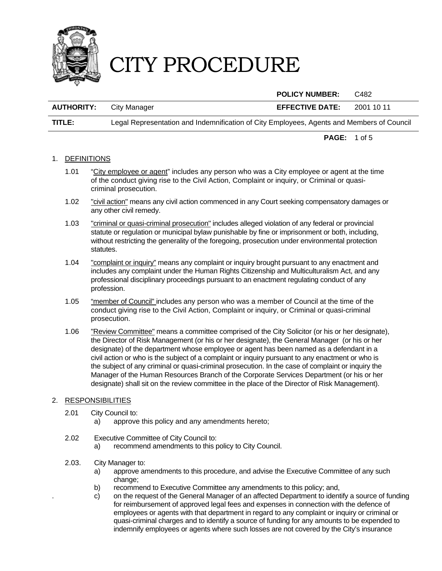

|                   |                                                                                           | <b>POLICY NUMBER:</b>  | C482       |
|-------------------|-------------------------------------------------------------------------------------------|------------------------|------------|
| <b>AUTHORITY:</b> | City Manager                                                                              | <b>EFFECTIVE DATE:</b> | 2001 10 11 |
| TITLE:            | Legal Representation and Indemnification of City Employees, Agents and Members of Council |                        |            |

**PAGE:** 1 of 5

#### 1. DEFINITIONS

- 1.01 "City employee or agent" includes any person who was a City employee or agent at the time of the conduct giving rise to the Civil Action, Complaint or inquiry, or Criminal or quasicriminal prosecution.
- 1.02 "civil action" means any civil action commenced in any Court seeking compensatory damages or any other civil remedy.
- 1.03 "criminal or quasi-criminal prosecution" includes alleged violation of any federal or provincial statute or regulation or municipal bylaw punishable by fine or imprisonment or both, including, without restricting the generality of the foregoing, prosecution under environmental protection statutes.
- 1.04 "complaint or inquiry" means any complaint or inquiry brought pursuant to any enactment and includes any complaint under the Human Rights Citizenship and Multiculturalism Act, and any professional disciplinary proceedings pursuant to an enactment regulating conduct of any profession.
- 1.05 "member of Council" includes any person who was a member of Council at the time of the conduct giving rise to the Civil Action, Complaint or inquiry, or Criminal or quasi-criminal prosecution.
- 1.06 "Review Committee" means a committee comprised of the City Solicitor (or his or her designate), the Director of Risk Management (or his or her designate), the General Manager (or his or her designate) of the department whose employee or agent has been named as a defendant in a civil action or who is the subject of a complaint or inquiry pursuant to any enactment or who is the subject of any criminal or quasi-criminal prosecution. In the case of complaint or inquiry the Manager of the Human Resources Branch of the Corporate Services Department (or his or her designate) shall sit on the review committee in the place of the Director of Risk Management).

#### 2. RESPONSIBILITIES

- 2.01 City Council to:
	- a) approve this policy and any amendments hereto;
- 2.02 Executive Committee of City Council to:
	- a) recommend amendments to this policy to City Council.
- 2.03. City Manager to:
	- a) approve amendments to this procedure, and advise the Executive Committee of any such change;
	- b) recommend to Executive Committee any amendments to this policy; and,
	- c) on the request of the General Manager of an affected Department to identify a source of funding for reimbursement of approved legal fees and expenses in connection with the defence of employees or agents with that department in regard to any complaint or inquiry or criminal or quasi-criminal charges and to identify a source of funding for any amounts to be expended to indemnify employees or agents where such losses are not covered by the City's insurance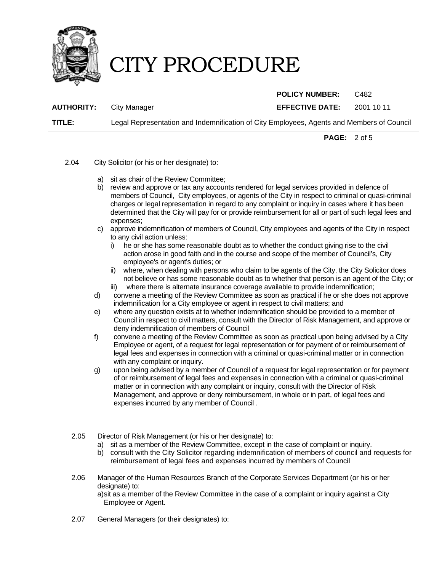

 **POLICY NUMBER:** C482 **AUTHORITY:** City Manager **EFFECTIVE DATE:** 2001 10 11 **TITLE:** Legal Representation and Indemnification of City Employees, Agents and Members of Council

**PAGE:** 2 of 5

- 2.04 City Solicitor (or his or her designate) to:
	- a) sit as chair of the Review Committee;
	- b) review and approve or tax any accounts rendered for legal services provided in defence of members of Council, City employees, or agents of the City in respect to criminal or quasi-criminal charges or legal representation in regard to any complaint or inquiry in cases where it has been determined that the City will pay for or provide reimbursement for all or part of such legal fees and expenses;
	- c) approve indemnification of members of Council, City employees and agents of the City in respect to any civil action unless:
		- i) he or she has some reasonable doubt as to whether the conduct giving rise to the civil action arose in good faith and in the course and scope of the member of Council's, City employee's or agent's duties; or
		- ii) where, when dealing with persons who claim to be agents of the City, the City Solicitor does not believe or has some reasonable doubt as to whether that person is an agent of the City; or iii) where there is alternate insurance coverage available to provide indemnification;
		-
	- d) convene a meeting of the Review Committee as soon as practical if he or she does not approve indemnification for a City employee or agent in respect to civil matters; and
	- e) where any question exists at to whether indemnification should be provided to a member of Council in respect to civil matters, consult with the Director of Risk Management, and approve or deny indemnification of members of Council
	- f) convene a meeting of the Review Committee as soon as practical upon being advised by a City Employee or agent, of a request for legal representation or for payment of or reimbursement of legal fees and expenses in connection with a criminal or quasi-criminal matter or in connection with any complaint or inquiry.
	- g) upon being advised by a member of Council of a request for legal representation or for payment of or reimbursement of legal fees and expenses in connection with a criminal or quasi-criminal matter or in connection with any complaint or inquiry, consult with the Director of Risk Management, and approve or deny reimbursement, in whole or in part, of legal fees and expenses incurred by any member of Council .
	- 2.05 Director of Risk Management (or his or her designate) to:
		- a) sit as a member of the Review Committee, except in the case of complaint or inquiry.
		- b) consult with the City Solicitor regarding indemnification of members of council and requests for reimbursement of legal fees and expenses incurred by members of Council
	- 2.06 Manager of the Human Resources Branch of the Corporate Services Department (or his or her designate) to: a) sit as a member of the Review Committee in the case of a complaint or inquiry against a City Employee or Agent.
	- 2.07 General Managers (or their designates) to: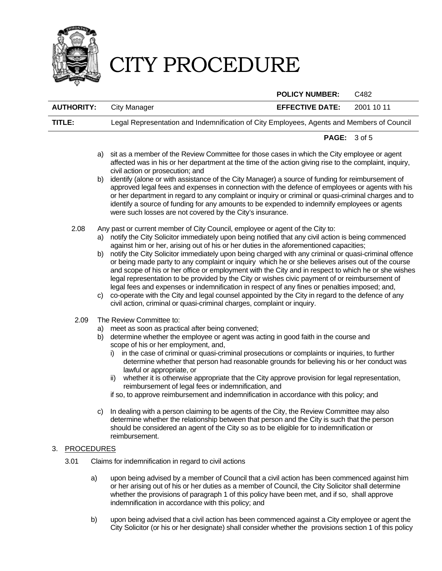

|    |                   |                   |                                                                                                                                                                                                                                                                                                                                                                                                                                                                                                                                                                                                                                                                                                                                                                                                                                                                                                                                                                                                                    | <b>POLICY NUMBER:</b>  | C482       |
|----|-------------------|-------------------|--------------------------------------------------------------------------------------------------------------------------------------------------------------------------------------------------------------------------------------------------------------------------------------------------------------------------------------------------------------------------------------------------------------------------------------------------------------------------------------------------------------------------------------------------------------------------------------------------------------------------------------------------------------------------------------------------------------------------------------------------------------------------------------------------------------------------------------------------------------------------------------------------------------------------------------------------------------------------------------------------------------------|------------------------|------------|
|    | <b>AUTHORITY:</b> |                   | <b>City Manager</b>                                                                                                                                                                                                                                                                                                                                                                                                                                                                                                                                                                                                                                                                                                                                                                                                                                                                                                                                                                                                | <b>EFFECTIVE DATE:</b> | 2001 10 11 |
|    | TITLE:            |                   | Legal Representation and Indemnification of City Employees, Agents and Members of Council                                                                                                                                                                                                                                                                                                                                                                                                                                                                                                                                                                                                                                                                                                                                                                                                                                                                                                                          |                        |            |
|    |                   |                   |                                                                                                                                                                                                                                                                                                                                                                                                                                                                                                                                                                                                                                                                                                                                                                                                                                                                                                                                                                                                                    | PAGE: 3 of 5           |            |
|    |                   | a)<br>b)          | sit as a member of the Review Committee for those cases in which the City employee or agent<br>affected was in his or her department at the time of the action giving rise to the complaint, inquiry,<br>civil action or prosecution; and<br>identify (alone or with assistance of the City Manager) a source of funding for reimbursement of<br>approved legal fees and expenses in connection with the defence of employees or agents with his<br>or her department in regard to any complaint or inquiry or criminal or quasi-criminal charges and to                                                                                                                                                                                                                                                                                                                                                                                                                                                           |                        |            |
|    |                   |                   | identify a source of funding for any amounts to be expended to indemnify employees or agents<br>were such losses are not covered by the City's insurance.                                                                                                                                                                                                                                                                                                                                                                                                                                                                                                                                                                                                                                                                                                                                                                                                                                                          |                        |            |
|    | 2.08              | b)<br>C)          | Any past or current member of City Council, employee or agent of the City to:<br>a) notify the City Solicitor immediately upon being notified that any civil action is being commenced<br>against him or her, arising out of his or her duties in the aforementioned capacities;<br>notify the City Solicitor immediately upon being charged with any criminal or quasi-criminal offence<br>or being made party to any complaint or inquiry which he or she believes arises out of the course<br>and scope of his or her office or employment with the City and in respect to which he or she wishes<br>legal representation to be provided by the City or wishes civic payment of or reimbursement of<br>legal fees and expenses or indemnification in respect of any fines or penalties imposed; and,<br>co-operate with the City and legal counsel appointed by the City in regard to the defence of any<br>civil action, criminal or quasi-criminal charges, complaint or inquiry.                             |                        |            |
|    | 2.09              | b)<br>C)          | The Review Committee to:<br>a) meet as soon as practical after being convened;<br>determine whether the employee or agent was acting in good faith in the course and<br>scope of his or her employment, and,<br>in the case of criminal or quasi-criminal prosecutions or complaints or inquiries, to further<br>i).<br>determine whether that person had reasonable grounds for believing his or her conduct was<br>lawful or appropriate, or<br>whether it is otherwise appropriate that the City approve provision for legal representation,<br>ii)<br>reimbursement of legal fees or indemnification, and<br>if so, to approve reimbursement and indemnification in accordance with this policy; and<br>In dealing with a person claiming to be agents of the City, the Review Committee may also<br>determine whether the relationship between that person and the City is such that the person<br>should be considered an agent of the City so as to be eligible for to indemnification or<br>reimbursement. |                        |            |
| 3. |                   | <b>PROCEDURES</b> |                                                                                                                                                                                                                                                                                                                                                                                                                                                                                                                                                                                                                                                                                                                                                                                                                                                                                                                                                                                                                    |                        |            |
|    | 3.01              |                   | Claims for indemnification in regard to civil actions                                                                                                                                                                                                                                                                                                                                                                                                                                                                                                                                                                                                                                                                                                                                                                                                                                                                                                                                                              |                        |            |
|    |                   | a)                | upon being advised by a member of Council that a civil action has been commenced against him<br>or her arising out of his or her duties as a member of Council, the City Solicitor shall determine<br>whether the provisions of paragraph 1 of this policy have been met, and if so, shall approve<br>indemnification in accordance with this policy; and                                                                                                                                                                                                                                                                                                                                                                                                                                                                                                                                                                                                                                                          |                        |            |

b) upon being advised that a civil action has been commenced against a City employee or agent the City Solicitor (or his or her designate) shall consider whether the provisions section 1 of this policy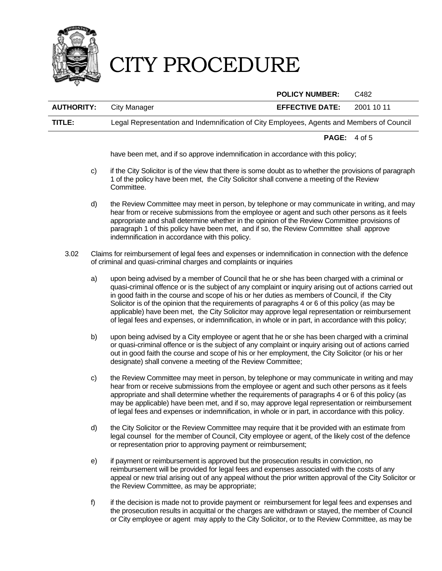

|                   |                                                                                           | <b>POLICY NUMBER:</b>  | C482       |
|-------------------|-------------------------------------------------------------------------------------------|------------------------|------------|
| <b>AUTHORITY:</b> | City Manager                                                                              | <b>EFFECTIVE DATE:</b> | 2001 10 11 |
| TITLE:            | Legal Representation and Indemnification of City Employees, Agents and Members of Council |                        |            |
|                   |                                                                                           |                        |            |

**PAGE:** 4 of 5

have been met, and if so approve indemnification in accordance with this policy;

- c) if the City Solicitor is of the view that there is some doubt as to whether the provisions of paragraph 1 of the policy have been met, the City Solicitor shall convene a meeting of the Review Committee.
- d) the Review Committee may meet in person, by telephone or may communicate in writing, and may hear from or receive submissions from the employee or agent and such other persons as it feels appropriate and shall determine whether in the opinion of the Review Committee provisions of paragraph 1 of this policy have been met, and if so, the Review Committee shall approve indemnification in accordance with this policy.
- 3.02 Claims for reimbursement of legal fees and expenses or indemnification in connection with the defence of criminal and quasi-criminal charges and complaints or inquiries
	- a) upon being advised by a member of Council that he or she has been charged with a criminal or quasi-criminal offence or is the subject of any complaint or inquiry arising out of actions carried out in good faith in the course and scope of his or her duties as members of Council, if the City Solicitor is of the opinion that the requirements of paragraphs 4 or 6 of this policy (as may be applicable) have been met, the City Solicitor may approve legal representation or reimbursement of legal fees and expenses, or indemnification, in whole or in part, in accordance with this policy;
	- b) upon being advised by a City employee or agent that he or she has been charged with a criminal or quasi-criminal offence or is the subject of any complaint or inquiry arising out of actions carried out in good faith the course and scope of his or her employment, the City Solicitor (or his or her designate) shall convene a meeting of the Review Committee;
	- c) the Review Committee may meet in person, by telephone or may communicate in writing and may hear from or receive submissions from the employee or agent and such other persons as it feels appropriate and shall determine whether the requirements of paragraphs 4 or 6 of this policy (as may be applicable) have been met, and if so, may approve legal representation or reimbursement of legal fees and expenses or indemnification, in whole or in part, in accordance with this policy.
	- d) the City Solicitor or the Review Committee may require that it be provided with an estimate from legal counsel for the member of Council, City employee or agent, of the likely cost of the defence or representation prior to approving payment or reimbursement;
	- e) if payment or reimbursement is approved but the prosecution results in conviction, no reimbursement will be provided for legal fees and expenses associated with the costs of any appeal or new trial arising out of any appeal without the prior written approval of the City Solicitor or the Review Committee, as may be appropriate;
	- f) if the decision is made not to provide payment or reimbursement for legal fees and expenses and the prosecution results in acquittal or the charges are withdrawn or stayed, the member of Council or City employee or agent may apply to the City Solicitor, or to the Review Committee, as may be